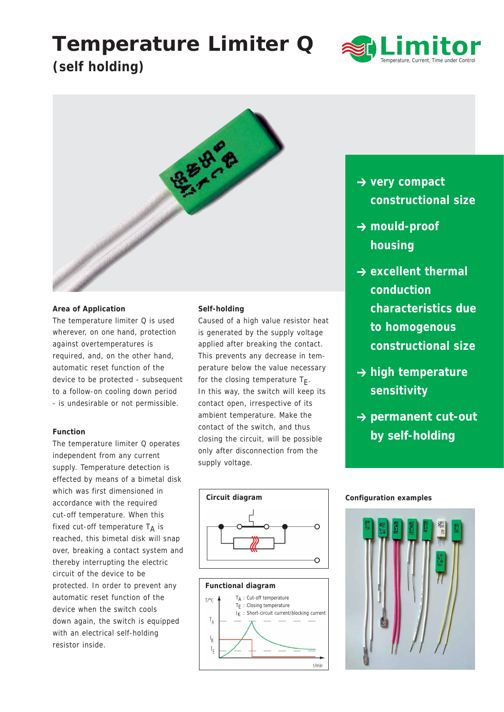# **Temperature Limiter Q**



# **(self holding)**



# **Area of Application**

The temperature limiter Q is used wherever, on one hand, protection against overtemperatures is required, and, on the other hand, automatic reset function of the device to be protected - subsequent to a follow-on cooling down period - is undesirable or not permissible.

## **Function**

The temperature limiter Q operates independent from any current supply. Temperature detection is effected by means of a bimetal disk which was first dimensioned in accordance with the required cut-off temperature. When this fixed cut-off temperature  $T_A$  is reached, this bimetal disk will snap over, breaking a contact system and thereby interrupting the electric circuit of the device to be protected. In order to prevent any automatic reset function of the device when the switch cools down again, the switch is equipped with an electrical self-holding resistor inside.

# **Self-holding**

Caused of a high value resistor heat is generated by the supply voltage applied after breaking the contact. This prevents any decrease in temperature below the value necessary for the closing temperature  $T_F$ . In this way, the switch will keep its contact open, irrespective of its ambient temperature. Make the contact of the switch, and thus closing the circuit, will be possible only after disconnection from the supply voltage.

- **→ very compact constructional size**
- $→$  **mould-proof housing**
- $\rightarrow$  excellent thermal **conduction characteristics due to homogenous constructional size**
- **→ high temperature sensitivity**
- **→ permanent cut-out by self-holding**